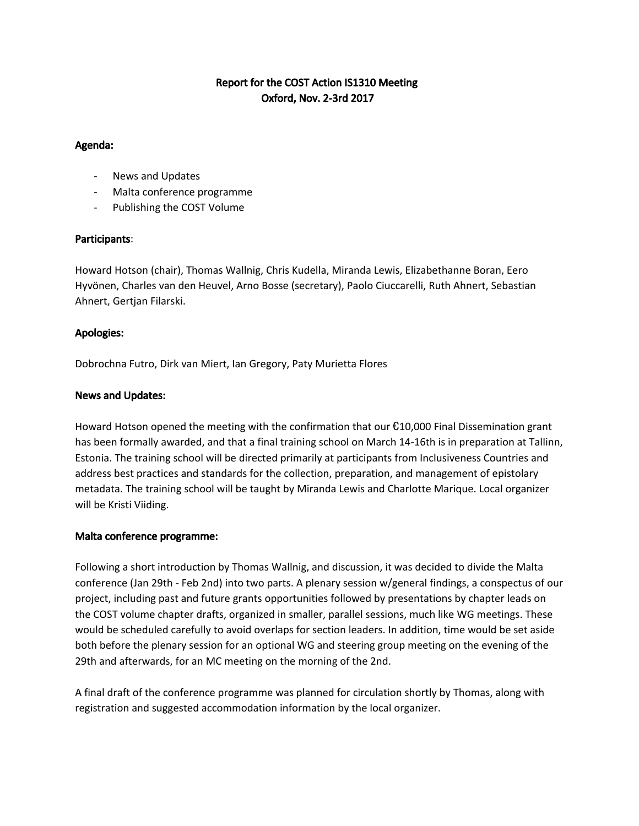# Report for the COST Action IS1310 Meeting Oxford, Nov. 2-3rd 2017

#### Agenda:

- News and Updates
- Malta conference programme
- Publishing the COST Volume

## Participants:

Howard Hotson (chair), Thomas Wallnig, Chris Kudella, Miranda Lewis, Elizabethanne Boran, Eero Hyvönen, Charles van den Heuvel, Arno Bosse (secretary), Paolo Ciuccarelli, Ruth Ahnert, Sebastian Ahnert, Gertjan Filarski.

## Apologies:

Dobrochna Futro, Dirk van Miert, Ian Gregory, Paty Murietta Flores

## News and Updates:

Howard Hotson opened the meeting with the confirmation that our €10,000 Final Dissemination grant has been formally awarded, and that a final training school on March 14-16th is in preparation at Tallinn, Estonia. The training school will be directed primarily at participants from Inclusiveness Countries and address best practices and standards for the collection, preparation, and management of epistolary metadata. The training school will be taught by Miranda Lewis and Charlotte Marique. Local organizer will be Kristi Viiding.

## Malta conference programme:

Following a short introduction by Thomas Wallnig, and discussion, it was decided to divide the Malta conference (Jan 29th - Feb 2nd) into two parts. A plenary session w/general findings, a conspectus of our project, including past and future grants opportunities followed by presentations by chapter leads on the COST volume chapter drafts, organized in smaller, parallel sessions, much like WG meetings. These would be scheduled carefully to avoid overlaps for section leaders. In addition, time would be set aside both before the plenary session for an optional WG and steering group meeting on the evening of the 29th and afterwards, for an MC meeting on the morning of the 2nd.

A final draft of the conference programme was planned for circulation shortly by Thomas, along with registration and suggested accommodation information by the local organizer.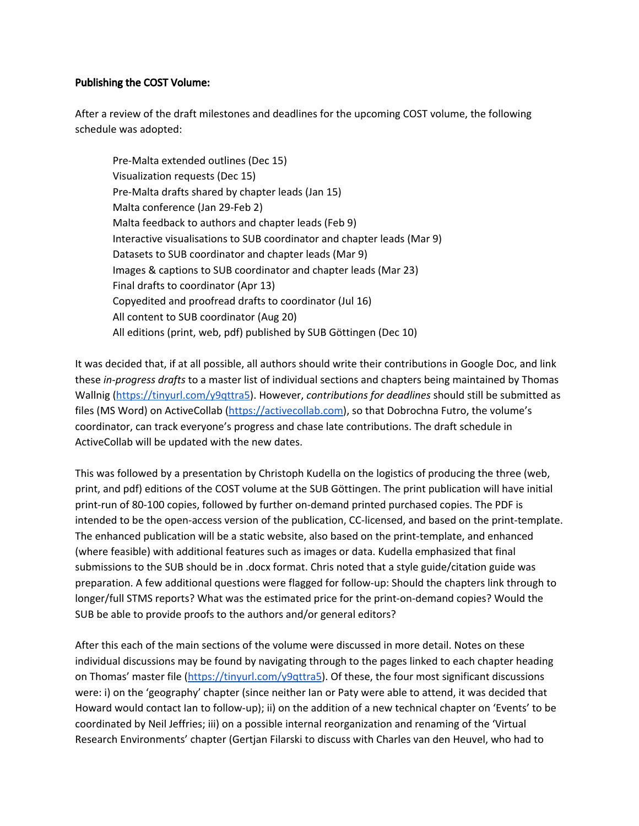#### Publishing the COST Volume:

After a review of the draft milestones and deadlines for the upcoming COST volume, the following schedule was adopted:

Pre-Malta extended outlines (Dec 15) Visualization requests (Dec 15) Pre-Malta drafts shared by chapter leads (Jan 15) Malta conference (Jan 29-Feb 2) Malta feedback to authors and chapter leads (Feb 9) Interactive visualisations to SUB coordinator and chapter leads (Mar 9) Datasets to SUB coordinator and chapter leads (Mar 9) Images & captions to SUB coordinator and chapter leads (Mar 23) Final drafts to coordinator (Apr 13) Copyedited and proofread drafts to coordinator (Jul 16) All content to SUB coordinator (Aug 20) All editions (print, web, pdf) published by SUB Göttingen (Dec 10)

It was decided that, if at all possible, all authors should write their contributions in Google Doc, and link these *in-progress drafts* to a master list of individual sections and chapters being maintained by Thomas Wallnig ([https://tinyurl.com/y9qttra5\)](https://tinyurl.com/y9qttra5). However, *contributions for deadlines* should still be submitted as files (MS Word) on ActiveCollab [\(https://activecollab.com\)](https://activecollab.com/), so that Dobrochna Futro, the volume's coordinator, can track everyone's progress and chase late contributions. The draft schedule in ActiveCollab will be updated with the new dates.

This was followed by a presentation by Christoph Kudella on the logistics of producing the three (web, print, and pdf) editions of the COST volume at the SUB Göttingen. The print publication will have initial print-run of 80-100 copies, followed by further on-demand printed purchased copies. The PDF is intended to be the open-access version of the publication, CC-licensed, and based on the print-template. The enhanced publication will be a static website, also based on the print-template, and enhanced (where feasible) with additional features such as images or data. Kudella emphasized that final submissions to the SUB should be in .docx format. Chris noted that a style guide/citation guide was preparation. A few additional questions were flagged for follow-up: Should the chapters link through to longer/full STMS reports? What was the estimated price for the print-on-demand copies? Would the SUB be able to provide proofs to the authors and/or general editors?

After this each of the main sections of the volume were discussed in more detail. Notes on these individual discussions may be found by navigating through to the pages linked to each chapter heading on Thomas' master file [\(https://tinyurl.com/y9qttra5](https://tinyurl.com/y9qttra5)). Of these, the four most significant discussions were: i) on the 'geography' chapter (since neither Ian or Paty were able to attend, it was decided that Howard would contact Ian to follow-up); ii) on the addition of a new technical chapter on 'Events' to be coordinated by Neil Jeffries; iii) on a possible internal reorganization and renaming of the 'Virtual Research Environments' chapter (Gertjan Filarski to discuss with Charles van den Heuvel, who had to